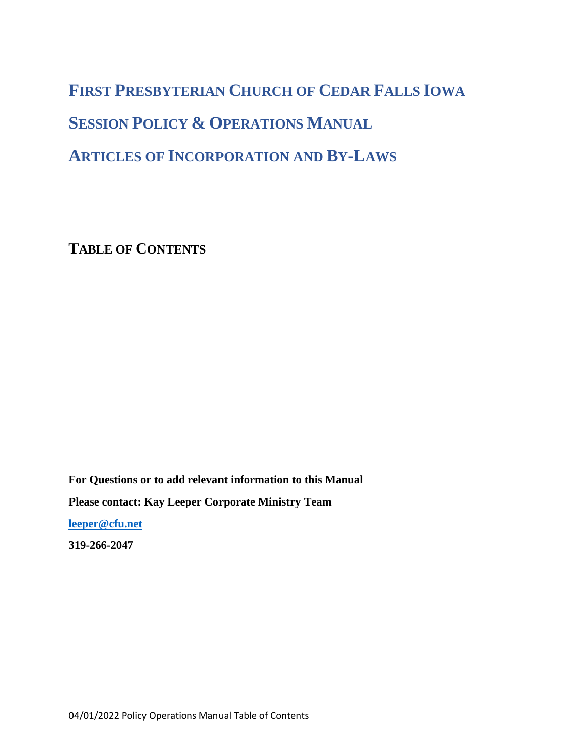# **FIRST PRESBYTERIAN CHURCH OF CEDAR FALLS IOWA SESSION POLICY & OPERATIONS MANUAL ARTICLES OF INCORPORATION AND BY-LAWS**

**TABLE OF CONTENTS**

**For Questions or to add relevant information to this Manual Please contact: Kay Leeper Corporate Ministry Team** 

**[leeper@cfu.net](mailto:leeper@cfu.net)**

**319-266-2047**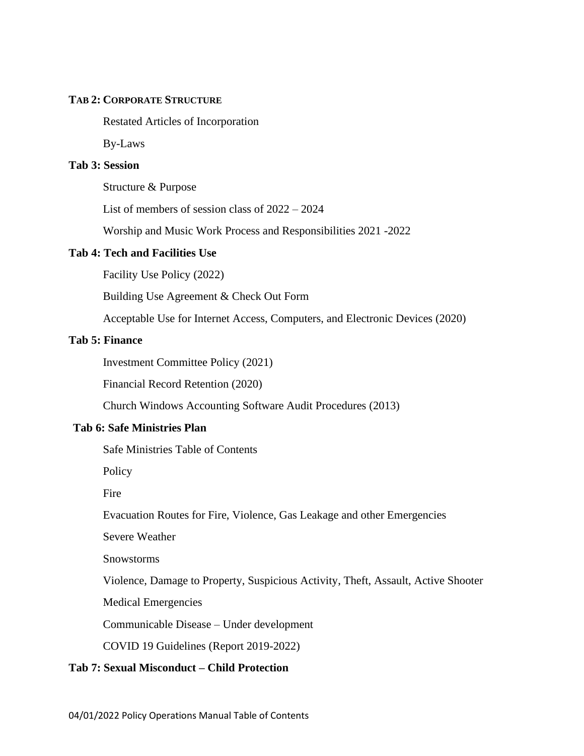#### **TAB 2: CORPORATE STRUCTURE**

Restated Articles of Incorporation

By-Laws

## **Tab 3: Session**

Structure & Purpose

List of members of session class of 2022 – 2024

Worship and Music Work Process and Responsibilities 2021 -2022

#### **Tab 4: Tech and Facilities Use**

Facility Use Policy (2022)

Building Use Agreement & Check Out Form

Acceptable Use for Internet Access, Computers, and Electronic Devices (2020)

#### **Tab 5: Finance**

Investment Committee Policy (2021)

Financial Record Retention (2020)

Church Windows Accounting Software Audit Procedures (2013)

## **Tab 6: Safe Ministries Plan**

Safe Ministries Table of Contents

Policy

Fire

Evacuation Routes for Fire, Violence, Gas Leakage and other Emergencies

Severe Weather

Snowstorms

Violence, Damage to Property, Suspicious Activity, Theft, Assault, Active Shooter

Medical Emergencies

Communicable Disease – Under development

COVID 19 Guidelines (Report 2019-2022)

## **Tab 7: Sexual Misconduct – Child Protection**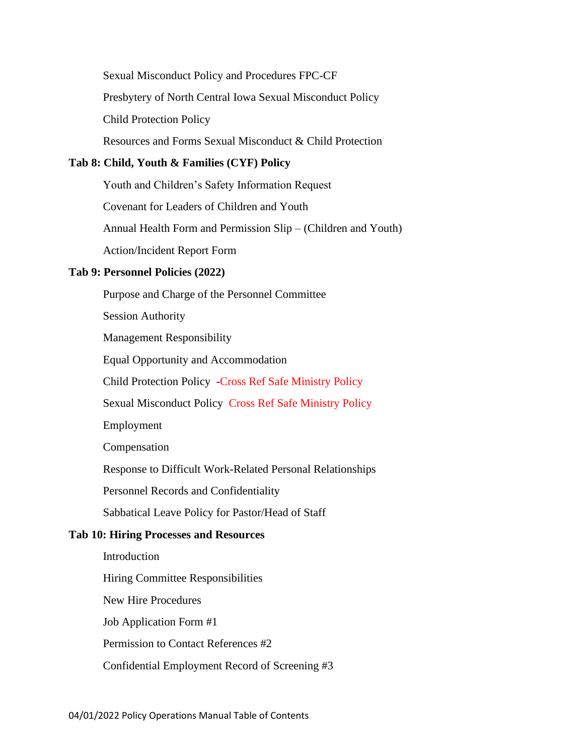Sexual Misconduct Policy and Procedures FPC-CF Presbytery of North Central Iowa Sexual Misconduct Policy Child Protection Policy Resources and Forms Sexual Misconduct & Child Protection

## **Tab 8: Child, Youth & Families (CYF) Policy**

Youth and Children's Safety Information Request Covenant for Leaders of Children and Youth Annual Health Form and Permission Slip – (Children and Youth) Action/Incident Report Form

#### **Tab 9: Personnel Policies (2022)**

Purpose and Charge of the Personnel Committee Session Authority Management Responsibility Equal Opportunity and Accommodation Child Protection Policy -Cross Ref Safe Ministry Policy Sexual Misconduct Policy Cross Ref Safe Ministry Policy Employment Compensation Response to Difficult Work-Related Personal Relationships Personnel Records and Confidentiality Sabbatical Leave Policy for Pastor/Head of Staff **Tab 10: Hiring Processes and Resources** Introduction Hiring Committee Responsibilities New Hire Procedures Job Application Form #1 Permission to Contact References #2 Confidential Employment Record of Screening #3